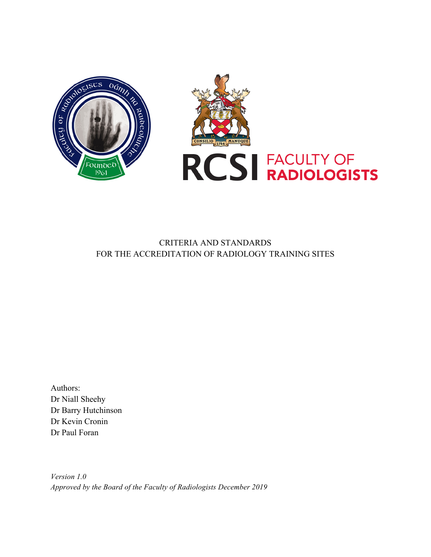



# CRITERIA AND STANDARDS FOR THE ACCREDITATION OF RADIOLOGY TRAINING SITES

Authors: Dr Niall Sheehy Dr Barry Hutchinson Dr Kevin Cronin Dr Paul Foran

*Version 1.0 Approved by the Board of the Faculty of Radiologists December 2019*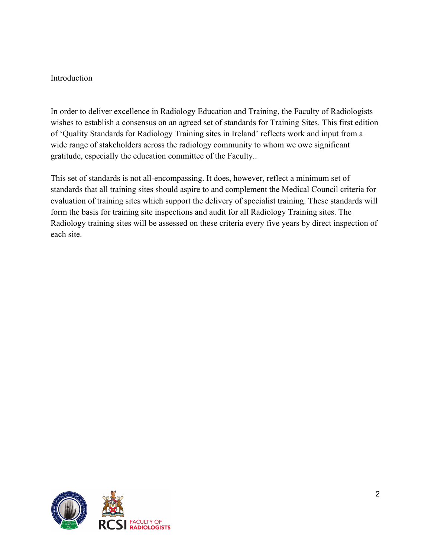### Introduction

In order to deliver excellence in Radiology Education and Training, the Faculty of Radiologists wishes to establish a consensus on an agreed set of standards for Training Sites. This first edition of 'Quality Standards for Radiology Training sites in Ireland' reflects work and input from a wide range of stakeholders across the radiology community to whom we owe significant gratitude, especially the education committee of the Faculty..

This set of standards is not all-encompassing. It does, however, reflect a minimum set of standards that all training sites should aspire to and complement the Medical Council criteria for evaluation of training sites which support the delivery of specialist training. These standards will form the basis for training site inspections and audit for all Radiology Training sites. The Radiology training sites will be assessed on these criteria every five years by direct inspection of each site.

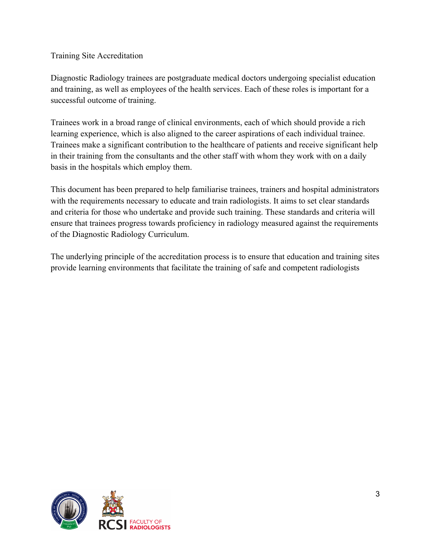Training Site Accreditation

Diagnostic Radiology trainees are postgraduate medical doctors undergoing specialist education and training, as well as employees of the health services. Each of these roles is important for a successful outcome of training.

Trainees work in a broad range of clinical environments, each of which should provide a rich learning experience, which is also aligned to the career aspirations of each individual trainee. Trainees make a significant contribution to the healthcare of patients and receive significant help in their training from the consultants and the other staff with whom they work with on a daily basis in the hospitals which employ them.

This document has been prepared to help familiarise trainees, trainers and hospital administrators with the requirements necessary to educate and train radiologists. It aims to set clear standards and criteria for those who undertake and provide such training. These standards and criteria will ensure that trainees progress towards proficiency in radiology measured against the requirements of the Diagnostic Radiology Curriculum.

The underlying principle of the accreditation process is to ensure that education and training sites provide learning environments that facilitate the training of safe and competent radiologists

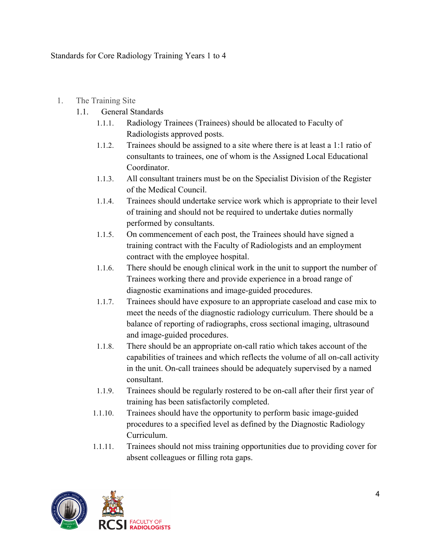Standards for Core Radiology Training Years 1 to 4

- 1. The Training Site
	- 1.1. General Standards
		- 1.1.1. Radiology Trainees (Trainees) should be allocated to Faculty of Radiologists approved posts.
		- 1.1.2. Trainees should be assigned to a site where there is at least a 1:1 ratio of consultants to trainees, one of whom is the Assigned Local Educational Coordinator.
		- 1.1.3. All consultant trainers must be on the Specialist Division of the Register of the Medical Council.
		- 1.1.4. Trainees should undertake service work which is appropriate to their level of training and should not be required to undertake duties normally performed by consultants.
		- 1.1.5. On commencement of each post, the Trainees should have signed a training contract with the Faculty of Radiologists and an employment contract with the employee hospital.
		- 1.1.6. There should be enough clinical work in the unit to support the number of Trainees working there and provide experience in a broad range of diagnostic examinations and image-guided procedures.
		- 1.1.7. Trainees should have exposure to an appropriate caseload and case mix to meet the needs of the diagnostic radiology curriculum. There should be a balance of reporting of radiographs, cross sectional imaging, ultrasound and image-guided procedures.
		- 1.1.8. There should be an appropriate on-call ratio which takes account of the capabilities of trainees and which reflects the volume of all on-call activity in the unit. On-call trainees should be adequately supervised by a named consultant.
		- 1.1.9. Trainees should be regularly rostered to be on-call after their first year of training has been satisfactorily completed.
		- 1.1.10. Trainees should have the opportunity to perform basic image-guided procedures to a specified level as defined by the Diagnostic Radiology **Curriculum**
		- 1.1.11. Trainees should not miss training opportunities due to providing cover for absent colleagues or filling rota gaps.

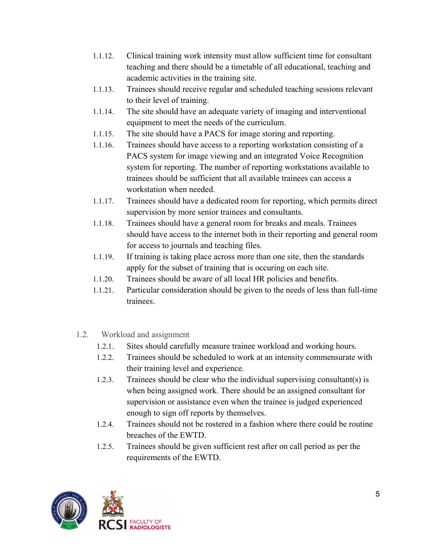- 1.1.12. Clinical training work intensity must allow sufficient time for consultant teaching and there should be a timetable of all educational, teaching and academic activities in the training site.
- 1.1.13. Trainees should receive regular and scheduled teaching sessions relevant to their level of training.
- 1.1.14. The site should have an adequate variety of imaging and interventional equipment to meet the needs of the curriculum.
- 1.1.15. The site should have a PACS for image storing and reporting.
- 1.1.16. Trainees should have access to a reporting workstation consisting of a PACS system for image viewing and an integrated Voice Recognition system for reporting. The number of reporting workstations available to trainees should be sufficient that all available trainees can access a workstation when needed.
- 1.1.17. Trainees should have a dedicated room for reporting, which permits direct supervision by more senior trainees and consultants.
- 1.1.18. Trainees should have a general room for breaks and meals. Trainees should have access to the internet both in their reporting and general room for access to journals and teaching files.
- 1.1.19. If training is taking place across more than one site, then the standards apply for the subset of training that is occuring on each site.
- 1.1.20. Trainees should be aware of all local HR policies and benefits.
- 1.1.21. Particular consideration should be given to the needs of less than full-time trainees.
- 1.2. Workload and assignment
	- 1.2.1. Sites should carefully measure trainee workload and working hours.
	- 1.2.2. Trainees should be scheduled to work at an intensity commensurate with their training level and experience.
	- 1.2.3. Trainees should be clear who the individual supervising consultant(s) is when being assigned work. There should be an assigned consultant for supervision or assistance even when the trainee is judged experienced enough to sign off reports by themselves.
	- 1.2.4. Trainees should not be rostered in a fashion where there could be routine breaches of the EWTD.
	- 1.2.5. Trainees should be given sufficient rest after on call period as per the requirements of the EWTD.

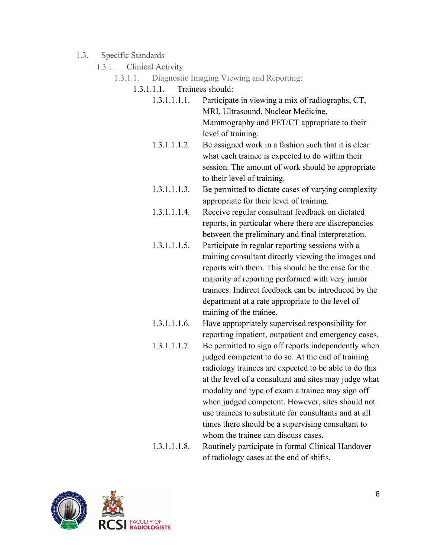- 1.3. Specific Standards
	- 1.3.1. Clinical Activity
		- 1.3.1.1. Diagnostic Imaging Viewing and Reporting:
			- 1.3.1.1.1. Trainees should:
				- 1.3.1.1.1.1. Participate in viewing a mix of radiographs, CT, MRI, Ultrasound, Nuclear Medicine, Mammography and PET/CT appropriate to their level of training.
				- 1.3.1.1.1.2. Be assigned work in a fashion such that it is clear what each trainee is expected to do within their session. The amount of work should be appropriate to their level of training.
				- 1.3.1.1.1.3. Be permitted to dictate cases of varying complexity appropriate for their level of training.
				- 1.3.1.1.1.4. Receive regular consultant feedback on dictated reports, in particular where there are discrepancies between the preliminary and final interpretation.
				- 1.3.1.1.1.5. Participate in regular reporting sessions with a training consultant directly viewing the images and reports with them. This should be the case for the majority of reporting performed with very junior trainees. Indirect feedback can be introduced by the department at a rate appropriate to the level of training of the trainee.
				- 1.3.1.1.1.6. Have appropriately supervised responsibility for reporting inpatient, outpatient and emergency cases. 1.3.1.1.1.7. Be permitted to sign off reports independently when judged competent to do so. At the end of training radiology trainees are expected to be able to do this at the level of a consultant and sites may judge what modality and type of exam a trainee may sign off when judged competent. However, sites should not use trainees to substitute for consultants and at all times there should be a supervising consultant to whom the trainee can discuss cases.
				- 1.3.1.1.1.8. Routinely participate in formal Clinical Handover of radiology cases at the end of shifts.

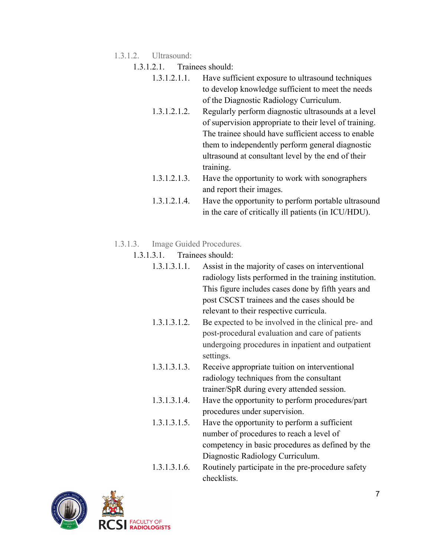- 1.3.1.2. Ultrasound:
	- 1.3.1.2.1. Trainees should:
		- 1.3.1.2.1.1. Have sufficient exposure to ultrasound techniques to develop knowledge sufficient to meet the needs of the Diagnostic Radiology Curriculum.
		- 1.3.1.2.1.2. Regularly perform diagnostic ultrasounds at a level of supervision appropriate to their level of training. The trainee should have sufficient access to enable them to independently perform general diagnostic ultrasound at consultant level by the end of their training.
		- 1.3.1.2.1.3. Have the opportunity to work with sonographers and report their images.
		- 1.3.1.2.1.4. Have the opportunity to perform portable ultrasound in the care of critically ill patients (in ICU/HDU).
- 1.3.1.3. Image Guided Procedures.
	- 1.3.1.3.1. Trainees should:
		- 1.3.1.3.1.1. Assist in the majority of cases on interventional radiology lists performed in the training institution. This figure includes cases done by fifth years and post CSCST trainees and the cases should be relevant to their respective curricula.
		- 1.3.1.3.1.2. Be expected to be involved in the clinical pre- and post-procedural evaluation and care of patients undergoing procedures in inpatient and outpatient settings.
		- 1.3.1.3.1.3. Receive appropriate tuition on interventional radiology techniques from the consultant trainer/SpR during every attended session.
		- 1.3.1.3.1.4. Have the opportunity to perform procedures/part procedures under supervision.
		- 1.3.1.3.1.5. Have the opportunity to perform a sufficient number of procedures to reach a level of competency in basic procedures as defined by the Diagnostic Radiology Curriculum.
		- 1.3.1.3.1.6. Routinely participate in the pre-procedure safety checklists.

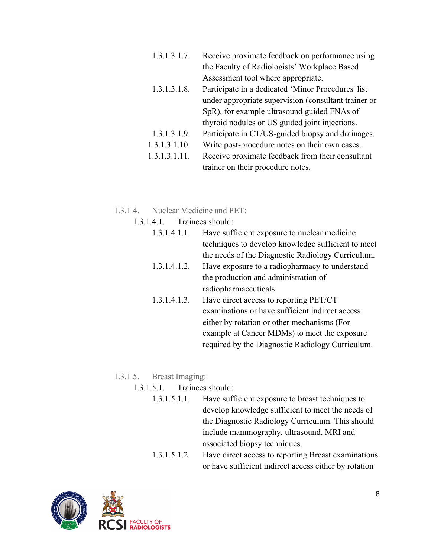- 1.3.1.3.1.7. Receive proximate feedback on performance using the Faculty of Radiologists' Workplace Based Assessment tool where appropriate.
- 1.3.1.3.1.8. Participate in a dedicated 'Minor Procedures' list under appropriate supervision (consultant trainer or SpR), for example ultrasound guided FNAs of thyroid nodules or US guided joint injections.
- 1.3.1.3.1.9. Participate in CT/US-guided biopsy and drainages.
- 1.3.1.3.1.10. Write post-procedure notes on their own cases.
- 1.3.1.3.1.11. Receive proximate feedback from their consultant trainer on their procedure notes.
- 1.3.1.4. Nuclear Medicine and PET:
	- 1.3.1.4.1. Trainees should:
		- 1.3.1.4.1.1. Have sufficient exposure to nuclear medicine techniques to develop knowledge sufficient to meet the needs of the Diagnostic Radiology Curriculum. 1.3.1.4.1.2. Have exposure to a radiopharmacy to understand
		- the production and administration of radiopharmaceuticals.
		- 1.3.1.4.1.3. Have direct access to reporting PET/CT examinations or have sufficient indirect access either by rotation or other mechanisms (For example at Cancer MDMs) to meet the exposure required by the Diagnostic Radiology Curriculum.

# 1.3.1.5. Breast Imaging:

- 1.3.1.5.1. Trainees should:
	- 1.3.1.5.1.1. Have sufficient exposure to breast techniques to develop knowledge sufficient to meet the needs of the Diagnostic Radiology Curriculum. This should include mammography, ultrasound, MRI and associated biopsy techniques.
	- 1.3.1.5.1.2. Have direct access to reporting Breast examinations or have sufficient indirect access either by rotation

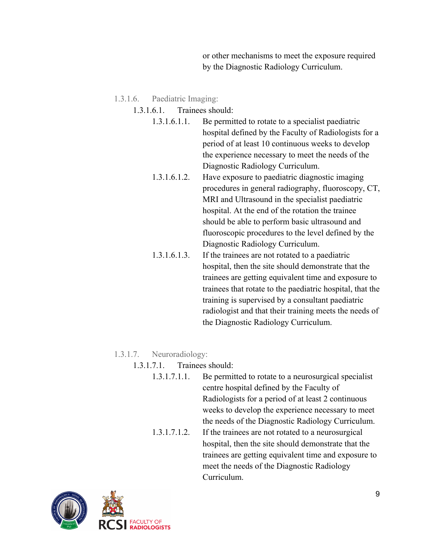or other mechanisms to meet the exposure required by the Diagnostic Radiology Curriculum.

- 1.3.1.6. Paediatric Imaging:
	- 1.3.1.6.1. Trainees should:
		- 1.3.1.6.1.1. Be permitted to rotate to a specialist paediatric hospital defined by the Faculty of Radiologists for a period of at least 10 continuous weeks to develop the experience necessary to meet the needs of the Diagnostic Radiology Curriculum.
		- 1.3.1.6.1.2. Have exposure to paediatric diagnostic imaging procedures in general radiography, fluoroscopy, CT, MRI and Ultrasound in the specialist paediatric hospital. At the end of the rotation the trainee should be able to perform basic ultrasound and fluoroscopic procedures to the level defined by the Diagnostic Radiology Curriculum.
		- 1.3.1.6.1.3. If the trainees are not rotated to a paediatric hospital, then the site should demonstrate that the trainees are getting equivalent time and exposure to trainees that rotate to the paediatric hospital, that the training is supervised by a consultant paediatric radiologist and that their training meets the needs of the Diagnostic Radiology Curriculum.

## 1.3.1.7. Neuroradiology:

- 1.3.1.7.1. Trainees should:
	- 1.3.1.7.1.1. Be permitted to rotate to a neurosurgical specialist centre hospital defined by the Faculty of Radiologists for a period of at least 2 continuous weeks to develop the experience necessary to meet the needs of the Diagnostic Radiology Curriculum. 1.3.1.7.1.2. If the trainees are not rotated to a neurosurgical hospital, then the site should demonstrate that the trainees are getting equivalent time and exposure to meet the needs of the Diagnostic Radiology Curriculum.

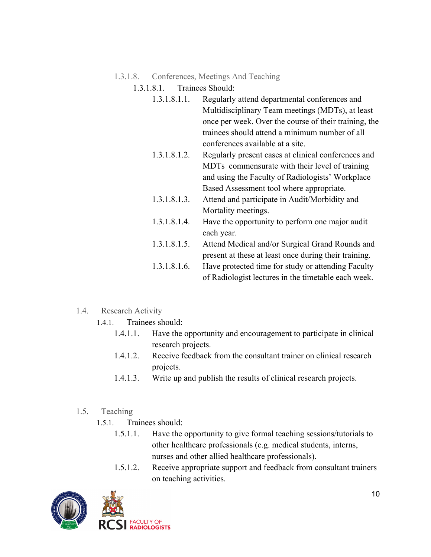## 1.3.1.8. Conferences, Meetings And Teaching

## 1.3.1.8.1. Trainees Should:

| 1.3.1.8.1.1. | Regularly attend departmental conferences and         |
|--------------|-------------------------------------------------------|
|              | Multidisciplinary Team meetings (MDTs), at least      |
|              | once per week. Over the course of their training, the |
|              | trainees should attend a minimum number of all        |
|              | conferences available at a site.                      |

- 1.3.1.8.1.2. Regularly present cases at clinical conferences and MDTs commensurate with their level of training and using the Faculty of Radiologists' Workplace Based Assessment tool where appropriate.
- 1.3.1.8.1.3. Attend and participate in Audit/Morbidity and Mortality meetings.
- 1.3.1.8.1.4. Have the opportunity to perform one major audit each year.
- 1.3.1.8.1.5. Attend Medical and/or Surgical Grand Rounds and present at these at least once during their training.
- 1.3.1.8.1.6. Have protected time for study or attending Faculty of Radiologist lectures in the timetable each week.
- 1.4. Research Activity
	- 1.4.1. Trainees should:
		- 1.4.1.1. Have the opportunity and encouragement to participate in clinical research projects.
		- 1.4.1.2. Receive feedback from the consultant trainer on clinical research projects.
		- 1.4.1.3. Write up and publish the results of clinical research projects.

## 1.5. Teaching

- 1.5.1. Trainees should:
	- 1.5.1.1. Have the opportunity to give formal teaching sessions/tutorials to other healthcare professionals (e.g. medical students, interns, nurses and other allied healthcare professionals).
	- 1.5.1.2. Receive appropriate support and feedback from consultant trainers on teaching activities.

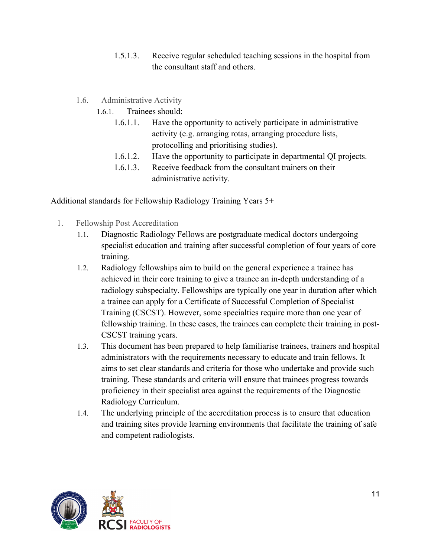- 1.5.1.3. Receive regular scheduled teaching sessions in the hospital from the consultant staff and others.
- 1.6. Administrative Activity
	- 1.6.1. Trainees should:
		- 1.6.1.1. Have the opportunity to actively participate in administrative activity (e.g. arranging rotas, arranging procedure lists, protocolling and prioritising studies).
		- 1.6.1.2. Have the opportunity to participate in departmental QI projects.
		- 1.6.1.3. Receive feedback from the consultant trainers on their administrative activity.

Additional standards for Fellowship Radiology Training Years 5+

- 1. Fellowship Post Accreditation
	- 1.1. Diagnostic Radiology Fellows are postgraduate medical doctors undergoing specialist education and training after successful completion of four years of core training.
	- 1.2. Radiology fellowships aim to build on the general experience a trainee has achieved in their core training to give a trainee an in-depth understanding of a radiology subspecialty. Fellowships are typically one year in duration after which a trainee can apply for a Certificate of Successful Completion of Specialist Training (CSCST). However, some specialties require more than one year of fellowship training. In these cases, the trainees can complete their training in post-CSCST training years.
	- 1.3. This document has been prepared to help familiarise trainees, trainers and hospital administrators with the requirements necessary to educate and train fellows. It aims to set clear standards and criteria for those who undertake and provide such training. These standards and criteria will ensure that trainees progress towards proficiency in their specialist area against the requirements of the Diagnostic Radiology Curriculum.
	- 1.4. The underlying principle of the accreditation process is to ensure that education and training sites provide learning environments that facilitate the training of safe and competent radiologists.

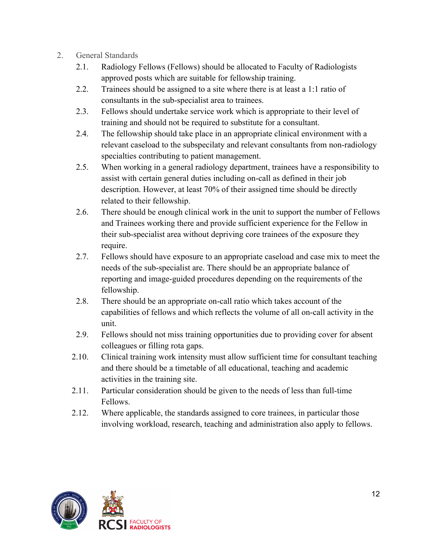- 2. General Standards
	- 2.1. Radiology Fellows (Fellows) should be allocated to Faculty of Radiologists approved posts which are suitable for fellowship training.
	- 2.2. Trainees should be assigned to a site where there is at least a 1:1 ratio of consultants in the sub-specialist area to trainees.
	- 2.3. Fellows should undertake service work which is appropriate to their level of training and should not be required to substitute for a consultant.
	- 2.4. The fellowship should take place in an appropriate clinical environment with a relevant caseload to the subspecilaty and relevant consultants from non-radiology specialties contributing to patient management.
	- 2.5. When working in a general radiology department, trainees have a responsibility to assist with certain general duties including on-call as defined in their job description. However, at least 70% of their assigned time should be directly related to their fellowship.
	- 2.6. There should be enough clinical work in the unit to support the number of Fellows and Trainees working there and provide sufficient experience for the Fellow in their sub-specialist area without depriving core trainees of the exposure they require.
	- 2.7. Fellows should have exposure to an appropriate caseload and case mix to meet the needs of the sub-specialist are. There should be an appropriate balance of reporting and image-guided procedures depending on the requirements of the fellowship.
	- 2.8. There should be an appropriate on-call ratio which takes account of the capabilities of fellows and which reflects the volume of all on-call activity in the unit.
	- 2.9. Fellows should not miss training opportunities due to providing cover for absent colleagues or filling rota gaps.
	- 2.10. Clinical training work intensity must allow sufficient time for consultant teaching and there should be a timetable of all educational, teaching and academic activities in the training site.
	- 2.11. Particular consideration should be given to the needs of less than full-time Fellows.
	- 2.12. Where applicable, the standards assigned to core trainees, in particular those involving workload, research, teaching and administration also apply to fellows.